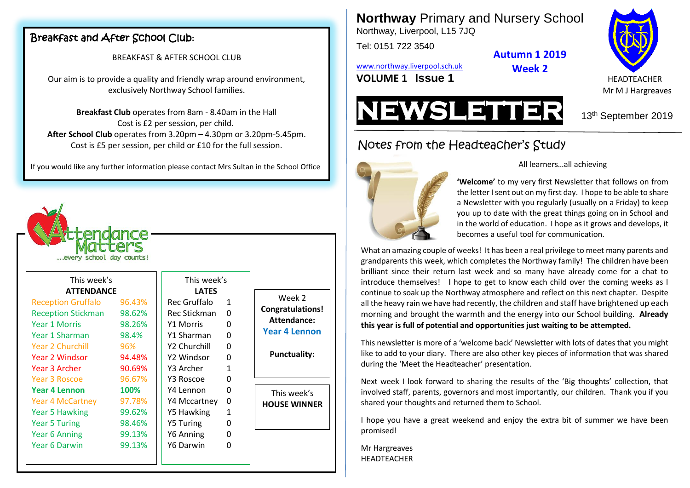# Breakfast and After School Club**:**

#### BREAKFAST & AFTER SCHOOL CLUB

Our aim is to provide a quality and friendly wrap around environment, exclusively Northway School families.

**Breakfast Club** operates from 8am - 8.40am in the Hall Cost is £2 per session, per child. **After School Club** operates from 3.20pm – 4.30pm or 3.20pm-5.45pm. Cost is £5 per session, per child or £10 for the full session.

If you would like any further information please contact Mrs Sultan in the School Office



Week 2 **Congratulations! Attendance: Year 4 Lennon**

**Punctuality:**

This week's **HOUSE WINNER** **Northway** Primary and Nursery School

Northway, Liverpool, L15 7JQ

Tel: 0151 722 3540

**Autumn 1 2019**

**Week 2**

[www.northway.liverpool.sch.uk](http://www.northway.liverpool.sch.uk/)



**VOLUME 1 SSUE 1 ISSUE 1 ISSUE 1 ISSUE 2 ISSUE 2 ISSUE 2 ISSUE 2 ISSUE 2 ISSUE 2 ISSUE 2 ISSUE 2 ISSUE 2 ISSUE 2 ISSUE 2 ISSUE 2 ISSUE 2 ISSUE 2 ISSUE 2 ISSUE 2 ISSUE 2 ISSUE 2 ISS** Mr M J Hargreaves



# Notes from the Headteacher's Study



#### All learners…all achieving

**'Welcome'** to my very first Newsletter that follows on from the letter I sent out on my first day. I hope to be able to share a Newsletter with you regularly (usually on a Friday) to keep you up to date with the great things going on in School and in the world of education. I hope as it grows and develops, it becomes a useful tool for communication.

What an amazing couple of weeks! It has been a real privilege to meet many parents and grandparents this week, which completes the Northway family! The children have been brilliant since their return last week and so many have already come for a chat to introduce themselves! I hope to get to know each child over the coming weeks as I continue to soak up the Northway atmosphere and reflect on this next chapter. Despite all the heavy rain we have had recently, the children and staff have brightened up each morning and brought the warmth and the energy into our School building. **Already this year is full of potential and opportunities just waiting to be attempted.**

This newsletter is more of a 'welcome back' Newsletter with lots of dates that you might like to add to your diary. There are also other key pieces of information that was shared during the 'Meet the Headteacher' presentation.

Next week I look forward to sharing the results of the 'Big thoughts' collection, that involved staff, parents, governors and most importantly, our children. Thank you if you shared your thoughts and returned them to School.

I hope you have a great weekend and enjoy the extra bit of summer we have been promised!

Mr Hargreaves **HEADTEACHER**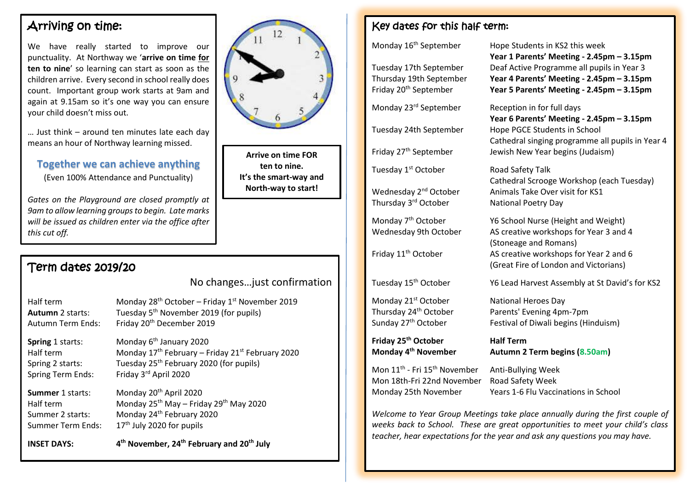# Arriving on time:

We have really started to improve our punctuality. At Northway we '**arrive on time for ten to nine**' so learning can start as soon as the children arrive. Every second in school really does count. Important group work starts at 9am and again at 9.15am so it's one way you can ensure your child doesn't miss out.

… Just think – around ten minutes late each day means an hour of Northway learning missed.

### **Together we can achieve anything**

(Even 100% Attendance and Punctuality)

*Gates on the Playground are closed promptly at 9am to allow learning groupsto begin. Late marks will be issued as children enter via the office after this cut off.*

# Term dates 2019/20

No changes…just confirmation

Half term Monday 28<sup>th</sup> October – Friday 1<sup>st</sup> November 2019 **Autumn** 2 starts: Tuesday 5th November 2019 (for pupils) Autumn Term Ends: Friday 20th December 2019

**Spring** 1 starts: Monday 6<sup>th</sup> January 2020 Half term Monday  $17<sup>th</sup>$  February – Friday  $21<sup>st</sup>$  February 2020 Spring 2 starts: Tuesday 25<sup>th</sup> February 2020 (for pupils) Spring Term Ends: Friday 3<sup>rd</sup> April 2020

**Summer** 1 starts: Monday 20<sup>th</sup> April 2020 Half term Monday 25th May – Friday 29th May 2020 Summer 2 starts: Monday 24<sup>th</sup> February 2020 Summer Term Ends:  $17<sup>th</sup>$  July 2020 for pupils

**INSET DAYS: 4 th November, 24th February and 20th July**



**Arrive on time FOR ten to nine. It's the smart-way and North-way to start!**

# Key dates for this half term:

Tuesday 1<sup>st</sup> October Road Safety Talk

Thursday 3<sup>rd</sup> October

Monday 21<sup>st</sup> October National Heroes Day

**Friday 25th October Half Term Monday 4**

Mon 11<sup>th</sup> - Fri 15<sup>th</sup> November Mon 18th-Fri 22nd November Road Safety Week

Monday 16<sup>th</sup> September Hope Students in KS2 this week **Year 1 Parents' Meeting - 2.45pm – 3.15pm** Tuesday 17th September Deaf Active Programme all pupils in Year 3 Thursday 19th September **Year 4 Parents' Meeting - 2.45pm – 3.15pm** Friday 20th September **Year 5 Parents' Meeting - 2.45pm – 3.15pm**

Monday 23<sup>rd</sup> September Reception in for full days

**Year 6 Parents' Meeting - 2.45pm – 3.15pm** Tuesday 24th September Hope PGCE Students in School Cathedral singing programme all pupils in Year 4 Friday 27<sup>th</sup> September Jewish New Year begins (Judaism)

Cathedral Scrooge Workshop (each Tuesday) Wednesday 2<sup>nd</sup> October Animals Take Over visit for KS1 National Poetry Day

Monday 7<sup>th</sup> October Y6 School Nurse (Height and Weight) Wednesday 9th October AS creative workshops for Year 3 and 4 (Stoneage and Romans) Friday 11<sup>th</sup> October AS creative workshops for Year 2 and 6 (Great Fire of London and Victorians)

Tuesday 15th October Y6 Lead Harvest Assembly at St David's for KS2

Thursday 24th October Parents' Evening 4pm-7pm Sunday 27<sup>th</sup> October Festival of Diwali begins (Hinduism)

**th November Autumn 2 Term begins (8.50am)**

Anti-Bullying Week Monday 25th November Years 1-6 Flu Vaccinations in School

*Welcome to Year Group Meetings take place annually during the first couple of weeks back to School. These are great opportunities to meet your child's class teacher, hear expectations for the year and ask any questions you may have.*